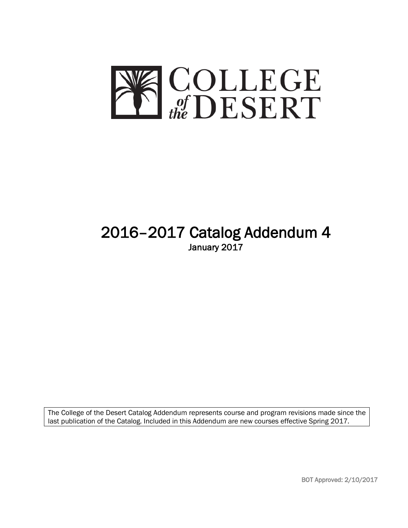

# 2016–2017 Catalog Addendum 4 January 2017

The College of the Desert Catalog Addendum represents course and program revisions made since the last publication of the Catalog. Included in this Addendum are new courses effective Spring 2017.

BOT Approved: 2/10/2017